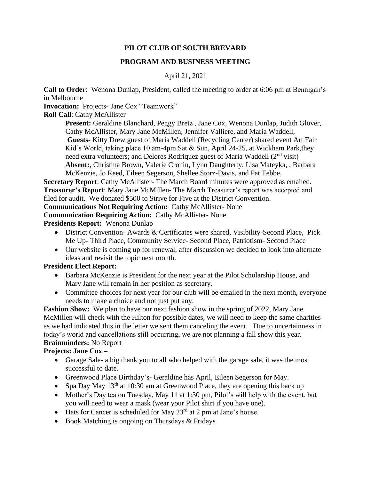# **PILOT CLUB OF SOUTH BREVARD**

## **PROGRAM AND BUSINESS MEETING**

### April 21, 2021

**Call to Order**: Wenona Dunlap, President, called the meeting to order at 6:06 pm at Bennigan's in Melbourne

**Invocation:** Projects- Jane Cox "Teamwork"

**Roll Call**: Cathy McAllister

**Present:** Geraldine Blanchard, Peggy Bretz , Jane Cox, Wenona Dunlap, Judith Glover, Cathy McAllister, Mary Jane McMillen, Jennifer Valliere, and Maria Waddell, **Guests-** Kitty Drew guest of Maria Waddell (Recycling Center) shared event Art Fair Kid's World, taking place 10 am-4pm Sat & Sun, April 24-25, at Wickham Park,they need extra volunteers; and Delores Rodriquez guest of Maria Waddell (2<sup>nd</sup> visit) **Absent:**, Christina Brown, Valerie Cronin, Lynn Daughterty, Lisa Mateyka, , Barbara McKenzie, Jo Reed, Eileen Segerson, Shellee Storz-Davis, and Pat Tebbe,

**Secretary Report**: Cathy McAllister- The March Board minutes were approved as emailed. **Treasurer's Report**: Mary Jane McMillen- The March Treasurer's report was accepted and filed for audit. We donated \$500 to Strive for Five at the District Convention. **Communications Not Requiring Action:** Cathy McAllister- None

**Communication Requiring Action:** Cathy McAllister- None

**Presidents Report:** Wenona Dunlap

- District Convention- Awards & Certificates were shared, Visibility-Second Place, Pick Me Up- Third Place, Community Service- Second Place, Patriotism- Second Place
- Our website is coming up for renewal, after discussion we decided to look into alternate ideas and revisit the topic next month.

## **President Elect Report:**

- Barbara McKenzie is President for the next year at the Pilot Scholarship House, and Mary Jane will remain in her position as secretary.
- Committee choices for next year for our club will be emailed in the next month, everyone needs to make a choice and not just put any.

**Fashion Show:** We plan to have our next fashion show in the spring of 2022, Mary Jane McMillen will check with the Hilton for possible dates, we will need to keep the same charities as we had indicated this in the letter we sent them canceling the event. Due to uncertainness in today's world and cancellations still occurring, we are not planning a fall show this year. **Brainminders:** No Report

## **Projects: Jane Cox –**

- Garage Sale- a big thank you to all who helped with the garage sale, it was the most successful to date.
- Greenwood Place Birthday's- Geraldine has April, Eileen Segerson for May.
- Spa Day May  $13<sup>th</sup>$  at 10:30 am at Greenwood Place, they are opening this back up
- Mother's Day tea on Tuesday, May 11 at 1:30 pm, Pilot's will help with the event, but you will need to wear a mask (wear your Pilot shirt if you have one).
- Hats for Cancer is scheduled for May  $23<sup>rd</sup>$  at 2 pm at Jane's house.
- Book Matching is ongoing on Thursdays  $&$  Fridays